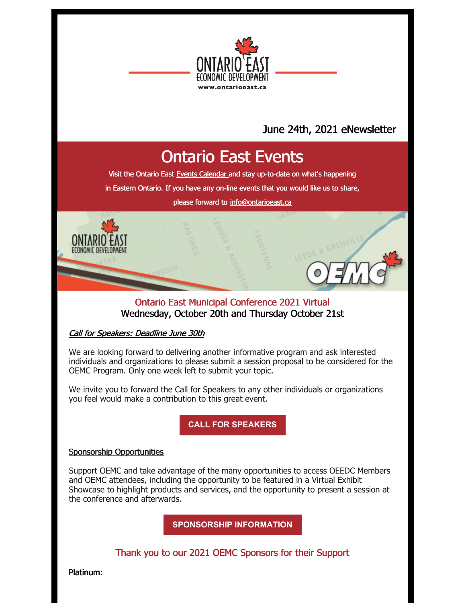

### June 24th, 2021 eNewsletter

## Ontario East Events

Visit the Ontario East Events [Calendar](https://ontarioeast.ca/events) and stay up-to-date on what's happening

in Eastern Ontario. If you have any on-line events that you would like us to share,

please forward to [info@ontarioeast.ca](mailto:info@ontarioeast.ca)

#### Ontario East Municipal Conference 2021 Virtual Wednesday, October 20th and Thursday October 21st

#### Call for Speakers: Deadline June 30th

We are looking forward to delivering another informative program and ask interested individuals and organizations to please submit a session proposal to be considered for the OEMC Program. Only one week left to submit your topic.

We invite you to forward the Call for Speakers to any other individuals or organizations you feel would make a contribution to this great event.

**CALL FOR [SPEAKERS](https://oemc.ca/call-for-speakers-2021/)**

#### Sponsorship Opportunities

Support OEMC and take advantage of the many opportunities to access OEEDC Members and OEMC attendees, including the opportunity to be featured in a Virtual Exhibit Showcase to highlight products and services, and the opportunity to present a session at the conference and afterwards.

**[SPONSORSHIP](https://oemc.ca/2021-sponsorship-opportunities/) INFORMATION**

Thank you to our 2021 OEMC Sponsors for their Support

Platinum: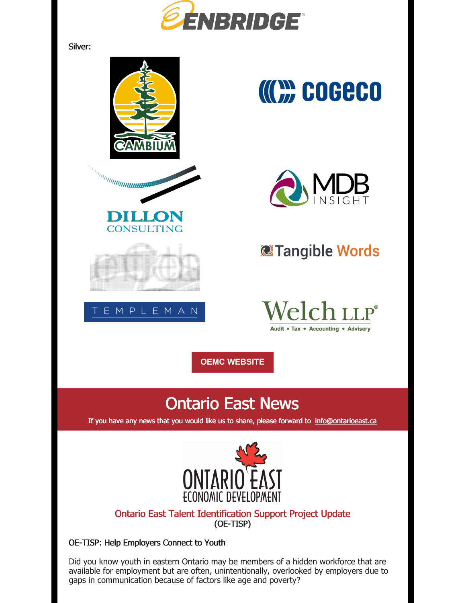

Silver:



Did you know youth in eastern Ontario may be members of a hidden workforce that are available for employment but are often, unintentionally, overlooked by employers due to gaps in communication because of factors like age and poverty?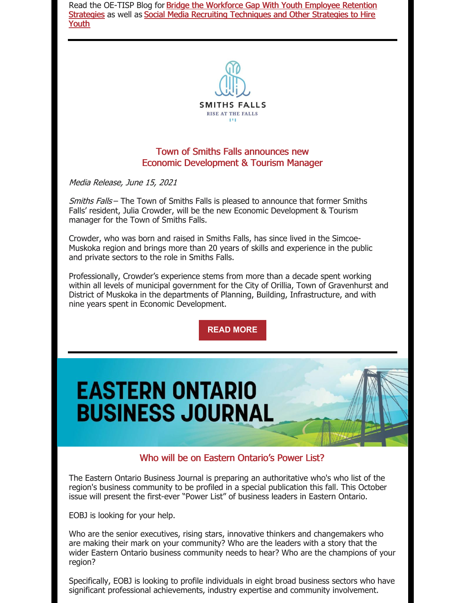Read the OE-TISP Blog for Bridge the Workforce Gap With Youth Employee Retention Strategies as well as Social Media Recruiting [Techniques](https://blog.ontarioeast.ca/youth-employmee-retention-strategies) and Other Strategies to Hire Youth



#### Town of Smiths Falls announces new Economic Development & Tourism Manager

Media Release, June 15, 2021

Smiths Falls – The Town of Smiths Falls is pleased to announce that former Smiths Falls' resident, Julia Crowder, will be the new Economic Development & Tourism manager for the Town of Smiths Falls.

Crowder, who was born and raised in Smiths Falls, has since lived in the Simcoe-Muskoka region and brings more than 20 years of skills and experience in the public and private sectors to the role in Smiths Falls.

Professionally, Crowder's experience stems from more than a decade spent working within all levels of municipal government for the City of Orillia, Town of Gravenhurst and District of Muskoka in the departments of Planning, Building, Infrastructure, and with nine years spent in Economic Development.

**READ [MORE](https://files.constantcontact.com/35c7e81d001/e986d6ac-b96d-40ee-a59a-5d6598cfb9a8.pdf?rdr=true)**

# **EASTERN ONTARIO BUSINESS JOURNAL**

#### Who will be on Eastern Ontario's Power List?

The Eastern Ontario Business Journal is preparing an authoritative who's who list of the region's business community to be profiled in a special publication this fall. This October issue will present the first-ever "Power List" of business leaders in Eastern Ontario.

EOBJ is looking for your help.

Who are the senior executives, rising stars, innovative thinkers and changemakers who are making their mark on your community? Who are the leaders with a story that the wider Eastern Ontario business community needs to hear? Who are the champions of your region?

Specifically, EOBJ is looking to profile individuals in eight broad business sectors who have significant professional achievements, industry expertise and community involvement.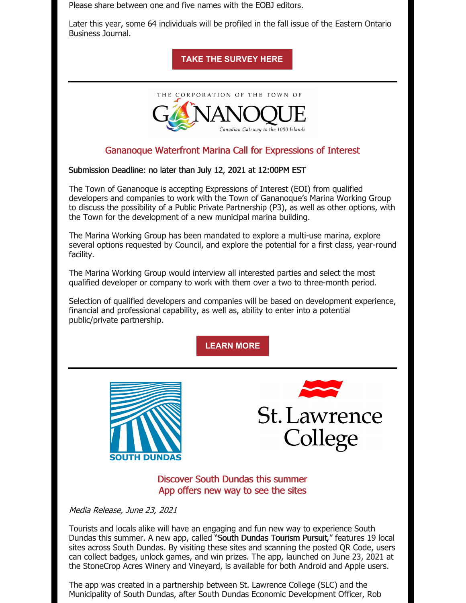Please share between one and five names with the EOBJ editors.

Later this year, some 64 individuals will be profiled in the fall issue of the Eastern Ontario Business Journal.

**TAKE THE [SURVEY](https://docs.google.com/forms/d/e/1FAIpQLSdJ9s9IhJqvZqg-n45R-dxWJ53OfwQ9exa0JgbSc0fHMKy48A/viewform) HERE**



#### Gananoque Waterfront Marina Call for Expressions of Interest

Submission Deadline: no later than July 12, 2021 at 12:00PM EST

The Town of Gananoque is accepting Expressions of Interest (EOI) from qualified developers and companies to work with the Town of Gananoque's Marina Working Group to discuss the possibility of a Public Private Partnership (P3), as well as other options, with the Town for the development of a new municipal marina building.

The Marina Working Group has been mandated to explore a multi-use marina, explore several options requested by Council, and explore the potential for a first class, year-round facility.

The Marina Working Group would interview all interested parties and select the most qualified developer or company to work with them over a two to three-month period.

Selection of qualified developers and companies will be based on development experience, financial and professional capability, as well as, ability to enter into a potential public/private partnership.

**[LEARN](https://www.gananoque.ca/sites/gananoque.ca/files/tenders-and-rfps/Marina Development EOI 2021_Final.pdf) MORE**





Discover South Dundas this summer App offers new way to see the sites

Media Release, June 23, 2021

Tourists and locals alike will have an engaging and fun new way to experience South Dundas this summer. A new app, called "South Dundas Tourism Pursuit," features 19 local sites across South Dundas. By visiting these sites and scanning the posted QR Code, users can collect badges, unlock games, and win prizes. The app, launched on June 23, 2021 at the StoneCrop Acres Winery and Vineyard, is available for both Android and Apple users.

The app was created in a partnership between St. Lawrence College (SLC) and the Municipality of South Dundas, after South Dundas Economic Development Officer, Rob